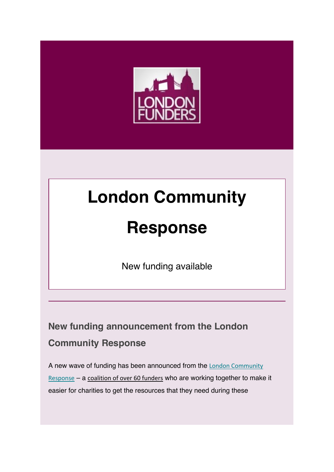

# **London Community**

# **Response**

New funding available

# **New funding announcement from the London Community Response**

A new wave of funding has been announced from the London Community Response – a coalition of over 60 funders who are working together to make it easier for charities to get the resources that they need during these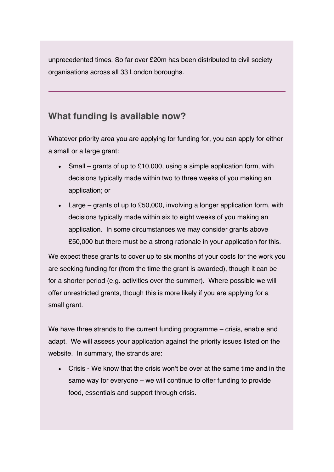unprecedented times. So far over £20m has been distributed to civil society organisations across all 33 London boroughs.

## **What funding is available now?**

Whatever priority area you are applying for funding for, you can apply for either a small or a large grant:

- Small grants of up to £10,000, using a simple application form, with decisions typically made within two to three weeks of you making an application; or
- Large grants of up to £50,000, involving a longer application form, with decisions typically made within six to eight weeks of you making an application. In some circumstances we may consider grants above £50,000 but there must be a strong rationale in your application for this.

We expect these grants to cover up to six months of your costs for the work you are seeking funding for (from the time the grant is awarded), though it can be for a shorter period (e.g. activities over the summer). Where possible we will offer unrestricted grants, though this is more likely if you are applying for a small grant.

We have three strands to the current funding programme – crisis, enable and adapt. We will assess your application against the priority issues listed on the website. In summary, the strands are:

• Crisis - We know that the crisis won't be over at the same time and in the same way for everyone – we will continue to offer funding to provide food, essentials and support through crisis.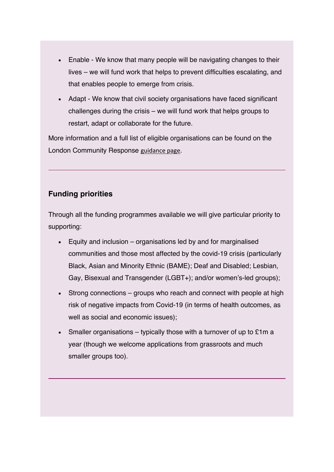- Enable We know that many people will be navigating changes to their lives – we will fund work that helps to prevent difficulties escalating, and that enables people to emerge from crisis.
- Adapt We know that civil society organisations have faced significant challenges during the crisis – we will fund work that helps groups to restart, adapt or collaborate for the future.

More information and a full list of eligible organisations can be found on the London Community Response guidance page.

### **Funding priorities**

Through all the funding programmes available we will give particular priority to supporting:

- Equity and inclusion organisations led by and for marginalised communities and those most affected by the covid-19 crisis (particularly Black, Asian and Minority Ethnic (BAME); Deaf and Disabled; Lesbian, Gay, Bisexual and Transgender (LGBT+); and/or women's-led groups);
- Strong connections groups who reach and connect with people at high risk of negative impacts from Covid-19 (in terms of health outcomes, as well as social and economic issues);
- Smaller organisations typically those with a turnover of up to  $£1m a$ year (though we welcome applications from grassroots and much smaller groups too).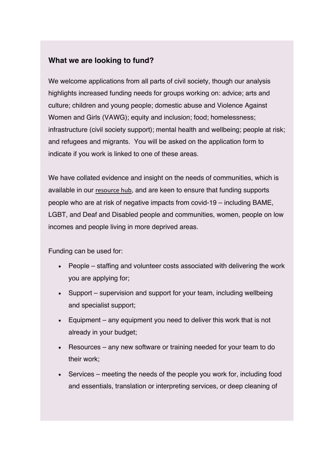#### **What we are looking to fund?**

We welcome applications from all parts of civil society, though our analysis highlights increased funding needs for groups working on: advice; arts and culture; children and young people; domestic abuse and Violence Against Women and Girls (VAWG); equity and inclusion; food; homelessness; infrastructure (civil society support); mental health and wellbeing; people at risk; and refugees and migrants. You will be asked on the application form to indicate if you work is linked to one of these areas.

We have collated evidence and insight on the needs of communities, which is available in our resource hub, and are keen to ensure that funding supports people who are at risk of negative impacts from covid-19 – including BAME, LGBT, and Deaf and Disabled people and communities, women, people on low incomes and people living in more deprived areas.

Funding can be used for:

- People staffing and volunteer costs associated with delivering the work you are applying for;
- Support supervision and support for your team, including wellbeing and specialist support;
- Equipment any equipment you need to deliver this work that is not already in your budget;
- Resources any new software or training needed for your team to do their work;
- Services meeting the needs of the people you work for, including food and essentials, translation or interpreting services, or deep cleaning of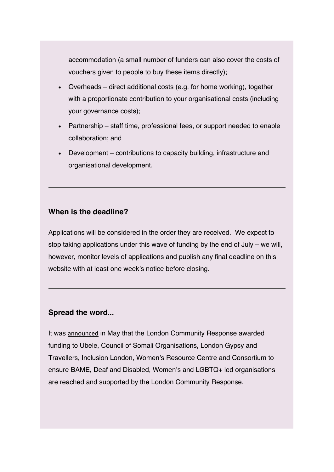accommodation (a small number of funders can also cover the costs of vouchers given to people to buy these items directly);

- Overheads direct additional costs (e.g. for home working), together with a proportionate contribution to your organisational costs (including your governance costs);
- Partnership staff time, professional fees, or support needed to enable collaboration; and
- Development contributions to capacity building, infrastructure and organisational development.

#### **When is the deadline?**

Applications will be considered in the order they are received. We expect to stop taking applications under this wave of funding by the end of July – we will, however, monitor levels of applications and publish any final deadline on this website with at least one week's notice before closing.

#### **Spread the word...**

It was announced in May that the London Community Response awarded funding to Ubele, Council of Somali Organisations, London Gypsy and Travellers, Inclusion London, Women's Resource Centre and Consortium to ensure BAME, Deaf and Disabled, Women's and LGBTQ+ led organisations are reached and supported by the London Community Response.